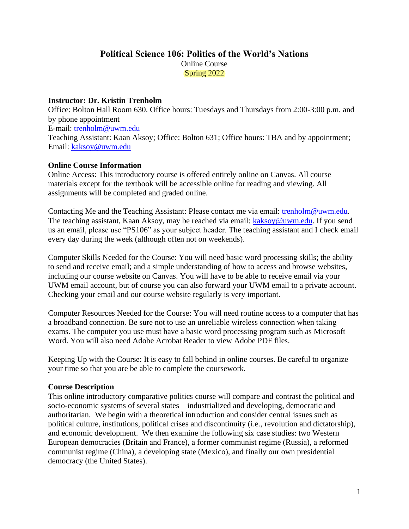# **Political Science 106: Politics of the World's Nations** Online Course Spring 2022

### **Instructor: Dr. Kristin Trenholm**

Office: Bolton Hall Room 630. Office hours: Tuesdays and Thursdays from 2:00-3:00 p.m. and by phone appointment E-mail: [trenholm@uwm.edu](mailto:trenholm@uwm.edu) Teaching Assistant: Kaan Aksoy; Office: Bolton 631; Office hours: TBA and by appointment; Email: [kaksoy@uwm.edu](mailto:kaksoy@uwm.edu)

### **Online Course Information**

Online Access: This introductory course is offered entirely online on Canvas. All course materials except for the textbook will be accessible online for reading and viewing. All assignments will be completed and graded online.

Contacting Me and the Teaching Assistant: Please contact me via email: [trenholm@uwm.edu.](mailto:trenholm@uwm.edu) The teaching assistant, Kaan Aksoy, may be reached via email: [kaksoy@uwm.edu.](mailto:kaksoy@uwm.edu) If you send us an email, please use "PS106" as your subject header. The teaching assistant and I check email every day during the week (although often not on weekends).

Computer Skills Needed for the Course: You will need basic word processing skills; the ability to send and receive email; and a simple understanding of how to access and browse websites, including our course website on Canvas. You will have to be able to receive email via your UWM email account, but of course you can also forward your UWM email to a private account. Checking your email and our course website regularly is very important.

Computer Resources Needed for the Course: You will need routine access to a computer that has a broadband connection. Be sure not to use an unreliable wireless connection when taking exams. The computer you use must have a basic word processing program such as Microsoft Word. You will also need Adobe Acrobat Reader to view Adobe PDF files.

Keeping Up with the Course: It is easy to fall behind in online courses. Be careful to organize your time so that you are be able to complete the coursework.

## **Course Description**

This online introductory comparative politics course will compare and contrast the political and socio-economic systems of several states—industrialized and developing, democratic and authoritarian. We begin with a theoretical introduction and consider central issues such as political culture, institutions, political crises and discontinuity (i.e., revolution and dictatorship), and economic development. We then examine the following six case studies: two Western European democracies (Britain and France), a former communist regime (Russia), a reformed communist regime (China), a developing state (Mexico), and finally our own presidential democracy (the United States).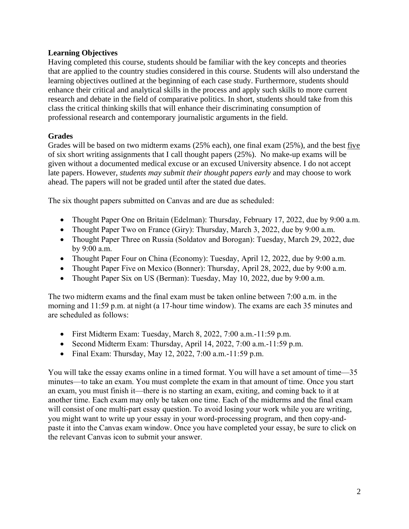## **Learning Objectives**

Having completed this course, students should be familiar with the key concepts and theories that are applied to the country studies considered in this course. Students will also understand the learning objectives outlined at the beginning of each case study. Furthermore, students should enhance their critical and analytical skills in the process and apply such skills to more current research and debate in the field of comparative politics. In short, students should take from this class the critical thinking skills that will enhance their discriminating consumption of professional research and contemporary journalistic arguments in the field.

# **Grades**

Grades will be based on two midterm exams (25% each), one final exam (25%), and the best five of six short writing assignments that I call thought papers (25%). No make-up exams will be given without a documented medical excuse or an excused University absence. I do not accept late papers. However, *students may submit their thought papers early* and may choose to work ahead. The papers will not be graded until after the stated due dates.

The six thought papers submitted on Canvas and are due as scheduled:

- Thought Paper One on Britain (Edelman): Thursday, February 17, 2022, due by 9:00 a.m.
- Thought Paper Two on France (Giry): Thursday, March 3, 2022, due by 9:00 a.m.
- Thought Paper Three on Russia (Soldatov and Borogan): Tuesday, March 29, 2022, due by 9:00 a.m.
- Thought Paper Four on China (Economy): Tuesday, April 12, 2022, due by 9:00 a.m.
- Thought Paper Five on Mexico (Bonner): Thursday, April 28, 2022, due by 9:00 a.m.
- Thought Paper Six on US (Berman): Tuesday, May 10, 2022, due by 9:00 a.m.

The two midterm exams and the final exam must be taken online between 7:00 a.m. in the morning and 11:59 p.m. at night (a 17-hour time window). The exams are each 35 minutes and are scheduled as follows:

- First Midterm Exam: Tuesday, March 8, 2022, 7:00 a.m.-11:59 p.m.
- Second Midterm Exam: Thursday, April 14, 2022, 7:00 a.m.-11:59 p.m.
- Final Exam: Thursday, May 12, 2022, 7:00 a.m.-11:59 p.m.

You will take the essay exams online in a timed format. You will have a set amount of time—35 minutes—to take an exam. You must complete the exam in that amount of time. Once you start an exam, you must finish it—there is no starting an exam, exiting, and coming back to it at another time. Each exam may only be taken one time. Each of the midterms and the final exam will consist of one multi-part essay question. To avoid losing your work while you are writing, you might want to write up your essay in your word-processing program, and then copy-andpaste it into the Canvas exam window. Once you have completed your essay, be sure to click on the relevant Canvas icon to submit your answer.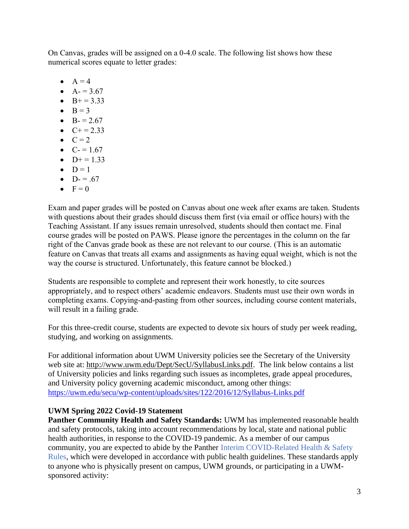On Canvas, grades will be assigned on a 0-4.0 scale. The following list shows how these numerical scores equate to letter grades:

- $\bullet$   $A = 4$
- $A = 3.67$
- $B+=3.33$
- $\bullet$  B = 3
- $B = 2.67$
- $C+=2.33$
- $\bullet$   $C = 2$
- $C = 1.67$
- $D+=1.33$  $\bullet$  D = 1
- $D = .67$
- $\bullet \quad F = 0$

Exam and paper grades will be posted on Canvas about one week after exams are taken. Students with questions about their grades should discuss them first (via email or office hours) with the Teaching Assistant. If any issues remain unresolved, students should then contact me. Final course grades will be posted on PAWS. Please ignore the percentages in the column on the far right of the Canvas grade book as these are not relevant to our course. (This is an automatic feature on Canvas that treats all exams and assignments as having equal weight, which is not the way the course is structured. Unfortunately, this feature cannot be blocked.)

Students are responsible to complete and represent their work honestly, to cite sources appropriately, and to respect others' academic endeavors. Students must use their own words in completing exams. Copying-and-pasting from other sources, including course content materials, will result in a failing grade.

For this three-credit course, students are expected to devote six hours of study per week reading, studying, and working on assignments.

For additional information about UWM University policies see the Secretary of the University web site at: [http://www.uwm.edu/Dept/SecU/SyllabusLinks.pdf.](http://www.uwm.edu/Dept/SecU/SyllabusLinks.pdf) The link below contains a list of University policies and links regarding such issues as incompletes, grade appeal procedures, and University policy governing academic misconduct, among other things: <https://uwm.edu/secu/wp-content/uploads/sites/122/2016/12/Syllabus-Links.pdf>

## **UWM Spring 2022 Covid-19 Statement**

**Panther Community Health and Safety Standards:** UWM has implemented reasonable health and safety protocols, taking into account recommendations by local, state and national public health authorities, in response to the COVID-19 pandemic. As a member of our campus community, you are expected to abide by the Panther Interim COVID-Related Health & Safety Rules, which were developed in accordance with public health guidelines. These standards apply to anyone who is physically present on campus, UWM grounds, or participating in a UWMsponsored activity: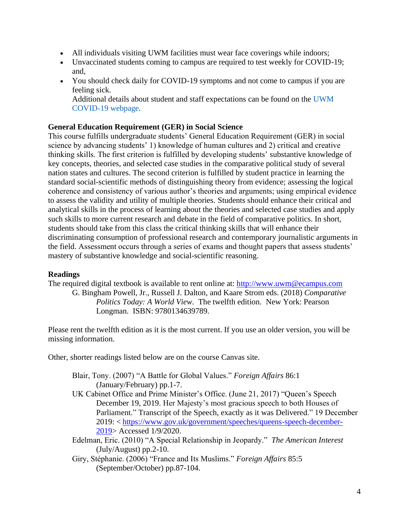- All individuals visiting UWM facilities must wear face coverings while indoors;
- Unvaccinated students coming to campus are required to test weekly for COVID-19; and,
- You should check daily for COVID-19 symptoms and not come to campus if you are feeling sick.

Additional details about student and staff expectations can be found on the UWM COVID-19 webpage.

### **General Education Requirement (GER) in Social Science**

This course fulfills undergraduate students' General Education Requirement (GER) in social science by advancing students' 1) knowledge of human cultures and 2) critical and creative thinking skills. The first criterion is fulfilled by developing students' substantive knowledge of key concepts, theories, and selected case studies in the comparative political study of several nation states and cultures. The second criterion is fulfilled by student practice in learning the standard social-scientific methods of distinguishing theory from evidence; assessing the logical coherence and consistency of various author's theories and arguments; using empirical evidence to assess the validity and utility of multiple theories. Students should enhance their critical and analytical skills in the process of learning about the theories and selected case studies and apply such skills to more current research and debate in the field of comparative politics. In short, students should take from this class the critical thinking skills that will enhance their discriminating consumption of professional research and contemporary journalistic arguments in the field. Assessment occurs through a series of exams and thought papers that assess students' mastery of substantive knowledge and social-scientific reasoning.

### **Readings**

The required digital textbook is available to rent online at: [http://www.uwm@ecampus.com](http://www.uwm@ecampus.com/)

G. Bingham Powell, Jr., Russell J. Dalton, and Kaare Strom eds. (2018) *Comparative Politics Today: A World View*. The twelfth edition. New York: Pearson Longman. ISBN: 9780134639789.

Please rent the twelfth edition as it is the most current. If you use an older version, you will be missing information.

Other, shorter readings listed below are on the course Canvas site.

- Blair, Tony. (2007) "A Battle for Global Values." *Foreign Affairs* 86:1 (January/February) pp.1-7.
- UK Cabinet Office and Prime Minister's Office. (June 21, 2017) "Queen's Speech December 19, 2019. Her Majesty's most gracious speech to both Houses of Parliament." Transcript of the Speech, exactly as it was Delivered." 19 December 2019: < [https://www.gov.uk/government/speeches/queens-speech-december-](https://www.gov.uk/government/speeches/queens-speech-december-2019)[2019>](https://www.gov.uk/government/speeches/queens-speech-december-2019) Accessed 1/9/2020.
- Edelman, Eric. (2010) "A Special Relationship in Jeopardy." *The American Interest*  (July/August) pp.2-10.
- Giry, Stéphanie. (2006) "France and Its Muslims." *Foreign Affairs* 85:5 (September/October) pp.87-104.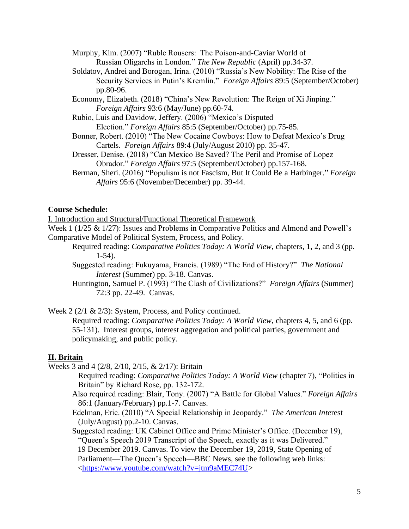- Murphy, Kim. (2007) "Ruble Rousers: The Poison-and-Caviar World of Russian Oligarchs in London." *The New Republic* (April) pp.34-37.
- Soldatov, Andrei and Borogan, Irina. (2010) "Russia's New Nobility: The Rise of the Security Services in Putin's Kremlin." *Foreign Affairs* 89:5 (September/October) pp.80-96.
- Economy, Elizabeth. (2018) "China's New Revolution: The Reign of Xi Jinping." *Foreign Affairs* 93:6 (May/June) pp.60-74.
- Rubio, Luis and Davidow, Jeffery. (2006) "Mexico's Disputed Election." *Foreign Affairs* 85:5 (September/October) pp.75-85.
- Bonner, Robert. (2010) "The New Cocaine Cowboys: How to Defeat Mexico's Drug Cartels. *Foreign Affairs* 89:4 (July/August 2010) pp. 35-47.
- Dresser, Denise. (2018) "Can Mexico Be Saved? The Peril and Promise of Lopez Obrador." *Foreign Affairs* 97:5 (September/October) pp.157-168.
- Berman, Sheri. (2016) "Populism is not Fascism, But It Could Be a Harbinger." *Foreign Affairs* 95:6 (November/December) pp. 39-44.

#### **Course Schedule:**

I. Introduction and Structural/Functional Theoretical Framework

Week 1 (1/25 & 1/27): Issues and Problems in Comparative Politics and Almond and Powell's Comparative Model of Political System, Process, and Policy.

- Required reading: *Comparative Politics Today: A World View,* chapters, 1, 2, and 3 (pp. 1-54).
	- Suggested reading: Fukuyama, Francis. (1989) "The End of History?" *The National Interest* (Summer) pp. 3-18. Canvas.
- Huntington, Samuel P. (1993) "The Clash of Civilizations?" *Foreign Affairs* (Summer) 72:3 pp. 22-49. Canvas.

Week 2 (2/1 & 2/3): System, Process, and Policy continued.

Required reading: *Comparative Politics Today: A World View,* chapters 4, 5, and 6 (pp. 55-131). Interest groups, interest aggregation and political parties, government and policymaking, and public policy.

#### **II. Britain**

Weeks 3 and 4 (2/8, 2/10, 2/15, & 2/17): Britain

- Required reading: *Comparative Politics Today: A World View* (chapter 7), "Politics in Britain" by Richard Rose, pp. 132-172.
- Also required reading: Blair, Tony. (2007) "A Battle for Global Values." *Foreign Affairs* 86:1 (January/February) pp.1-7. Canvas.
- Edelman, Eric. (2010) "A Special Relationship in Jeopardy." *The American Inte*rest (July/August) pp.2-10. Canvas.

Suggested reading: UK Cabinet Office and Prime Minister's Office. (December 19), "Queen's Speech 2019 Transcript of the Speech, exactly as it was Delivered." 19 December 2019. Canvas. To view the December 19, 2019, State Opening of Parliament—The Queen's Speech—BBC News, see the following web links: [<https://www.youtube.com/watch?v=jtm9aMEC74U>](https://www.youtube.com/watch?v=jtm9aMEC74U)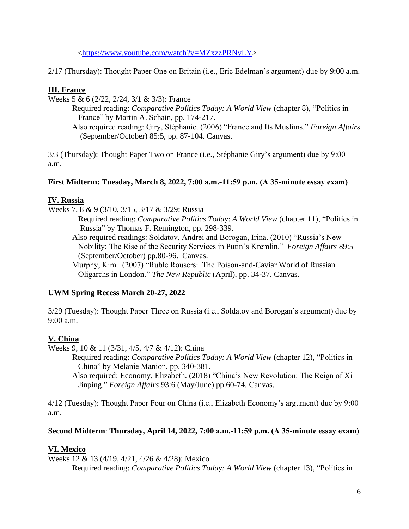[<https://www.youtube.com/watch?v=MZxzzPRNvLY>](https://www.youtube.com/watch?v=MZxzzPRNvLY)

2/17 (Thursday): Thought Paper One on Britain (i.e., Eric Edelman's argument) due by 9:00 a.m.

# **III. France**

Weeks 5 & 6 (2/22, 2/24, 3/1 & 3/3): France

Required reading: *Comparative Politics Today: A World View* (chapter 8), "Politics in France" by Martin A. Schain, pp. 174-217. Also required reading: Giry, Stéphanie. (2006) "France and Its Muslims." *Foreign Affairs* 

(September/October) 85:5, pp. 87-104. Canvas.

3/3 (Thursday): Thought Paper Two on France (i.e., Stéphanie Giry's argument) due by 9:00 a.m.

## **First Midterm: Tuesday, March 8, 2022, 7:00 a.m.-11:59 p.m. (A 35-minute essay exam)**

## **IV. Russia**

Weeks 7, 8 & 9 (3/10, 3/15, 3/17 & 3/29: Russia

Required reading: *Comparative Politics Today*: *A World View* (chapter 11), "Politics in Russia" by Thomas F. Remington, pp. 298-339.

Also required readings: Soldatov, Andrei and Borogan, Irina. (2010) "Russia's New Nobility: The Rise of the Security Services in Putin's Kremlin." *Foreign Affairs* 89:5 (September/October) pp.80-96. Canvas.

Murphy, Kim. (2007) "Ruble Rousers: The Poison-and-Caviar World of Russian Oligarchs in London." *The New Republic* (April), pp. 34-37. Canvas.

## **UWM Spring Recess March 20-27, 2022**

3/29 (Tuesday): Thought Paper Three on Russia (i.e., Soldatov and Borogan's argument) due by 9:00 a.m.

# **V. China**

Weeks 9, 10 & 11 (3/31, 4/5, 4/7 & 4/12): China

Required reading: *Comparative Politics Today: A World View* (chapter 12), "Politics in China" by Melanie Manion, pp. 340-381.

Also required: Economy, Elizabeth. (2018) "China's New Revolution: The Reign of Xi Jinping." *Foreign Affairs* 93:6 (May/June) pp.60-74. Canvas.

4/12 (Tuesday): Thought Paper Four on China (i.e., Elizabeth Economy's argument) due by 9:00 a.m.

## **Second Midterm**: **Thursday, April 14, 2022, 7:00 a.m.-11:59 p.m. (A 35-minute essay exam)**

# **VI. Mexico**

Weeks 12 & 13 (4/19, 4/21, 4/26 & 4/28): Mexico Required reading: *Comparative Politics Today: A World View* (chapter 13), "Politics in